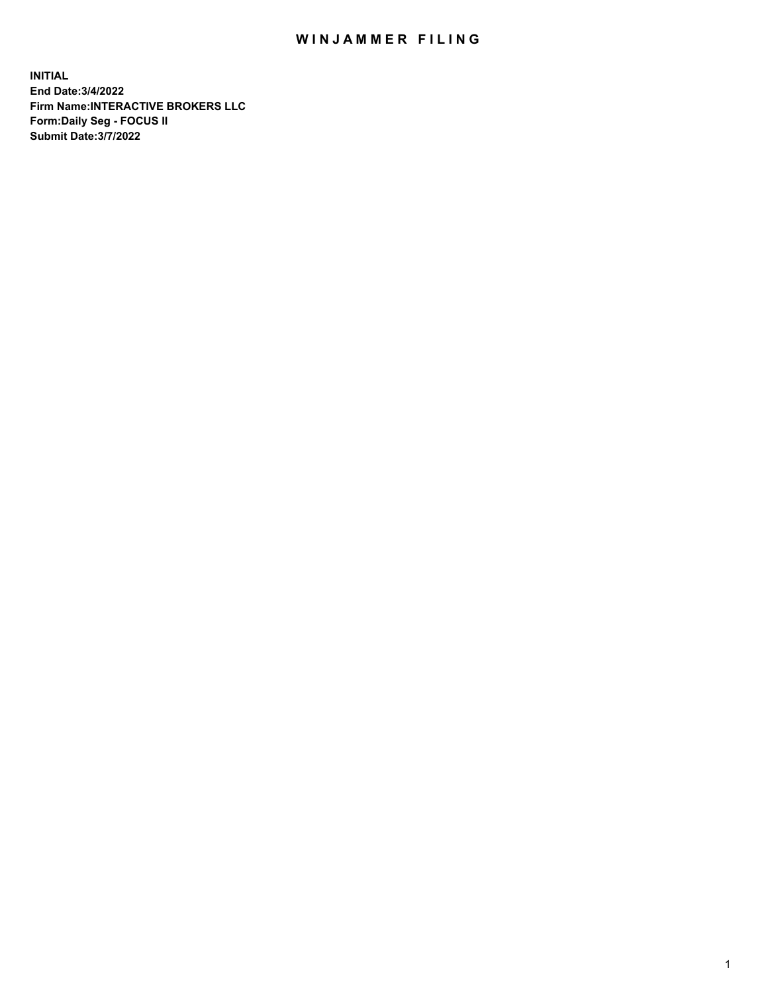## WIN JAMMER FILING

**INITIAL End Date:3/4/2022 Firm Name:INTERACTIVE BROKERS LLC Form:Daily Seg - FOCUS II Submit Date:3/7/2022**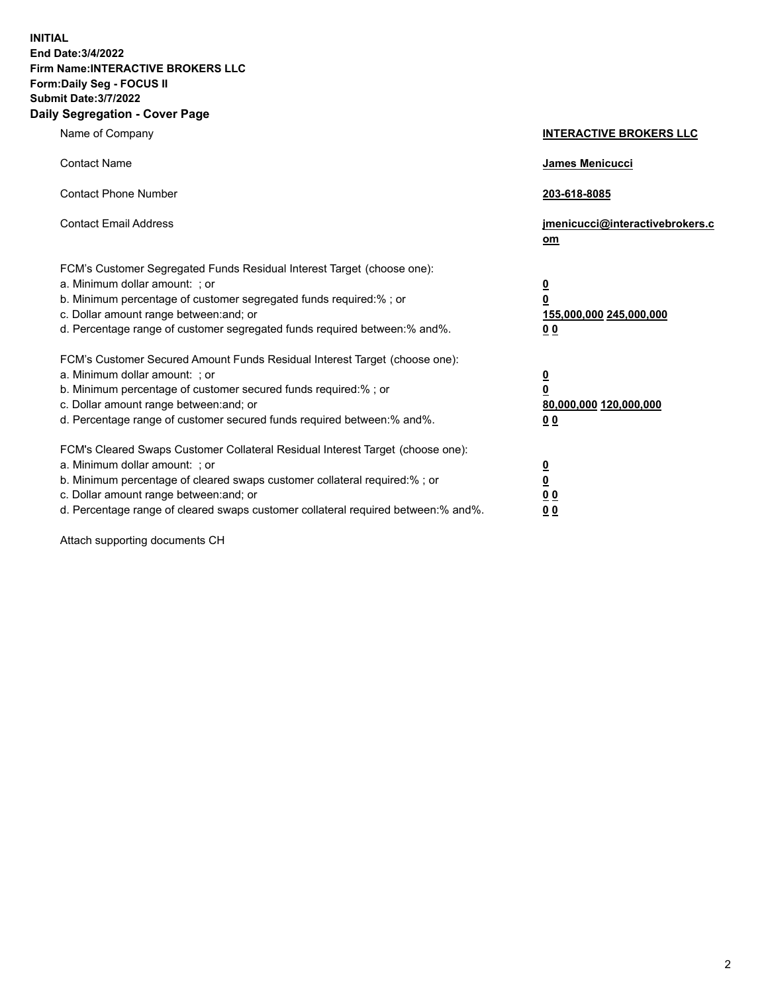**INITIAL End Date:3/4/2022 Firm Name:INTERACTIVE BROKERS LLC Form:Daily Seg - FOCUS II Submit Date:3/7/2022 Daily Segregation - Cover Page**

| Name of Company                                                                                                                                                                                                                                                                                                                | <b>INTERACTIVE BROKERS LLC</b>                                                                 |
|--------------------------------------------------------------------------------------------------------------------------------------------------------------------------------------------------------------------------------------------------------------------------------------------------------------------------------|------------------------------------------------------------------------------------------------|
| <b>Contact Name</b>                                                                                                                                                                                                                                                                                                            | James Menicucci                                                                                |
| <b>Contact Phone Number</b>                                                                                                                                                                                                                                                                                                    | 203-618-8085                                                                                   |
| <b>Contact Email Address</b>                                                                                                                                                                                                                                                                                                   | jmenicucci@interactivebrokers.c<br>om                                                          |
| FCM's Customer Segregated Funds Residual Interest Target (choose one):<br>a. Minimum dollar amount: ; or<br>b. Minimum percentage of customer segregated funds required:%; or<br>c. Dollar amount range between: and; or<br>d. Percentage range of customer segregated funds required between:% and%.                          | $\overline{\mathbf{0}}$<br>$\overline{\mathbf{0}}$<br>155,000,000 245,000,000<br>00            |
| FCM's Customer Secured Amount Funds Residual Interest Target (choose one):<br>a. Minimum dollar amount: ; or<br>b. Minimum percentage of customer secured funds required:% ; or<br>c. Dollar amount range between: and; or<br>d. Percentage range of customer secured funds required between:% and%.                           | $\overline{\mathbf{0}}$<br>$\overline{\mathbf{0}}$<br>80,000,000 120,000,000<br>0 <sub>0</sub> |
| FCM's Cleared Swaps Customer Collateral Residual Interest Target (choose one):<br>a. Minimum dollar amount: ; or<br>b. Minimum percentage of cleared swaps customer collateral required:% ; or<br>c. Dollar amount range between: and; or<br>d. Percentage range of cleared swaps customer collateral required between:% and%. | <u>0</u><br><u>0</u><br>0 <sub>0</sub><br>0 <sub>0</sub>                                       |

Attach supporting documents CH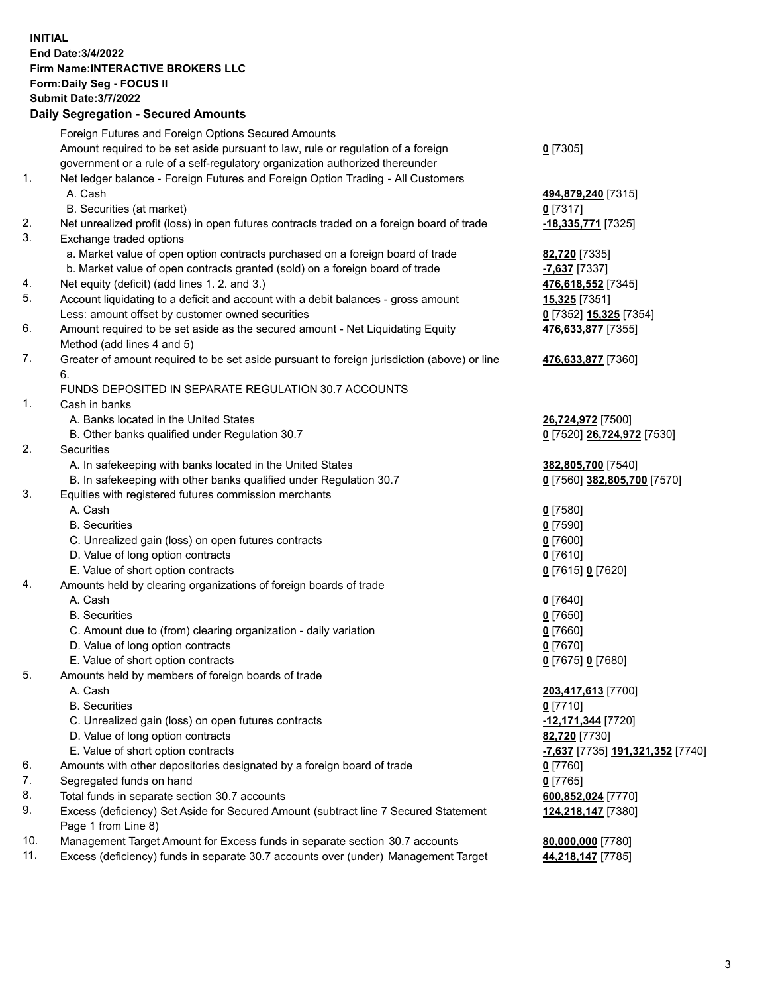**INITIAL End Date:3/4/2022 Firm Name:INTERACTIVE BROKERS LLC Form:Daily Seg - FOCUS II Submit Date:3/7/2022 Daily Segregation - Secured Amounts**

|     | Foreign Futures and Foreign Options Secured Amounts                                         |                                                      |
|-----|---------------------------------------------------------------------------------------------|------------------------------------------------------|
|     | Amount required to be set aside pursuant to law, rule or regulation of a foreign            | $0$ [7305]                                           |
|     | government or a rule of a self-regulatory organization authorized thereunder                |                                                      |
| 1.  | Net ledger balance - Foreign Futures and Foreign Option Trading - All Customers             |                                                      |
|     | A. Cash                                                                                     | 494,879,240 [7315]                                   |
|     | B. Securities (at market)                                                                   | $0$ [7317]                                           |
| 2.  | Net unrealized profit (loss) in open futures contracts traded on a foreign board of trade   | -18,335,771 [7325]                                   |
| 3.  | Exchange traded options                                                                     |                                                      |
|     | a. Market value of open option contracts purchased on a foreign board of trade              | 82,720 [7335]                                        |
|     | b. Market value of open contracts granted (sold) on a foreign board of trade                | -7,637 [7337]                                        |
| 4.  | Net equity (deficit) (add lines 1. 2. and 3.)                                               | 476,618,552 [7345]                                   |
| 5.  | Account liquidating to a deficit and account with a debit balances - gross amount           | 15,325 [7351]                                        |
|     | Less: amount offset by customer owned securities                                            | 0 [7352] 15,325 [7354]                               |
| 6.  | Amount required to be set aside as the secured amount - Net Liquidating Equity              | 476,633,877 [7355]                                   |
|     | Method (add lines 4 and 5)                                                                  |                                                      |
| 7.  | Greater of amount required to be set aside pursuant to foreign jurisdiction (above) or line | 476,633,877 [7360]                                   |
|     | 6.                                                                                          |                                                      |
|     | FUNDS DEPOSITED IN SEPARATE REGULATION 30.7 ACCOUNTS                                        |                                                      |
| 1.  | Cash in banks                                                                               |                                                      |
|     | A. Banks located in the United States                                                       | 26,724,972 [7500]                                    |
|     | B. Other banks qualified under Regulation 30.7                                              | 0 [7520] 26,724,972 [7530]                           |
| 2.  | Securities                                                                                  |                                                      |
|     | A. In safekeeping with banks located in the United States                                   | 382,805,700 [7540]                                   |
|     | B. In safekeeping with other banks qualified under Regulation 30.7                          | 0 [7560] 382,805,700 [7570]                          |
| 3.  | Equities with registered futures commission merchants                                       |                                                      |
|     | A. Cash                                                                                     | $0$ [7580]                                           |
|     | <b>B.</b> Securities                                                                        | $0$ [7590]                                           |
|     | C. Unrealized gain (loss) on open futures contracts                                         | $0$ [7600]                                           |
|     | D. Value of long option contracts                                                           | $0$ [7610]                                           |
|     | E. Value of short option contracts                                                          | 0 [7615] 0 [7620]                                    |
| 4.  | Amounts held by clearing organizations of foreign boards of trade                           |                                                      |
|     | A. Cash                                                                                     | $Q$ [7640]                                           |
|     | <b>B.</b> Securities                                                                        | $0$ [7650]                                           |
|     | C. Amount due to (from) clearing organization - daily variation                             | $0$ [7660]                                           |
|     | D. Value of long option contracts                                                           | $0$ [7670]                                           |
|     | E. Value of short option contracts                                                          | 0 [7675] 0 [7680]                                    |
| 5.  | Amounts held by members of foreign boards of trade                                          |                                                      |
|     | A. Cash                                                                                     | 203,417,613 [7700]                                   |
|     | <b>B.</b> Securities                                                                        | $0$ [7710]                                           |
|     | C. Unrealized gain (loss) on open futures contracts                                         | -12,171,344 [7720]                                   |
|     | D. Value of long option contracts                                                           | 82,720 [7730]                                        |
|     | E. Value of short option contracts                                                          | <mark>-7,637</mark> [7735] <u>191,321,352</u> [7740] |
| 6.  | Amounts with other depositories designated by a foreign board of trade                      | 0 [7760]                                             |
| 7.  | Segregated funds on hand                                                                    | $0$ [7765]                                           |
| 8.  | Total funds in separate section 30.7 accounts                                               | 600,852,024 [7770]                                   |
| 9.  | Excess (deficiency) Set Aside for Secured Amount (subtract line 7 Secured Statement         | 124,218,147 [7380]                                   |
|     | Page 1 from Line 8)                                                                         |                                                      |
| 10. | Management Target Amount for Excess funds in separate section 30.7 accounts                 | 80,000,000 [7780]                                    |
| 11. | Excess (deficiency) funds in separate 30.7 accounts over (under) Management Target          | 44,218,147 [7785]                                    |
|     |                                                                                             |                                                      |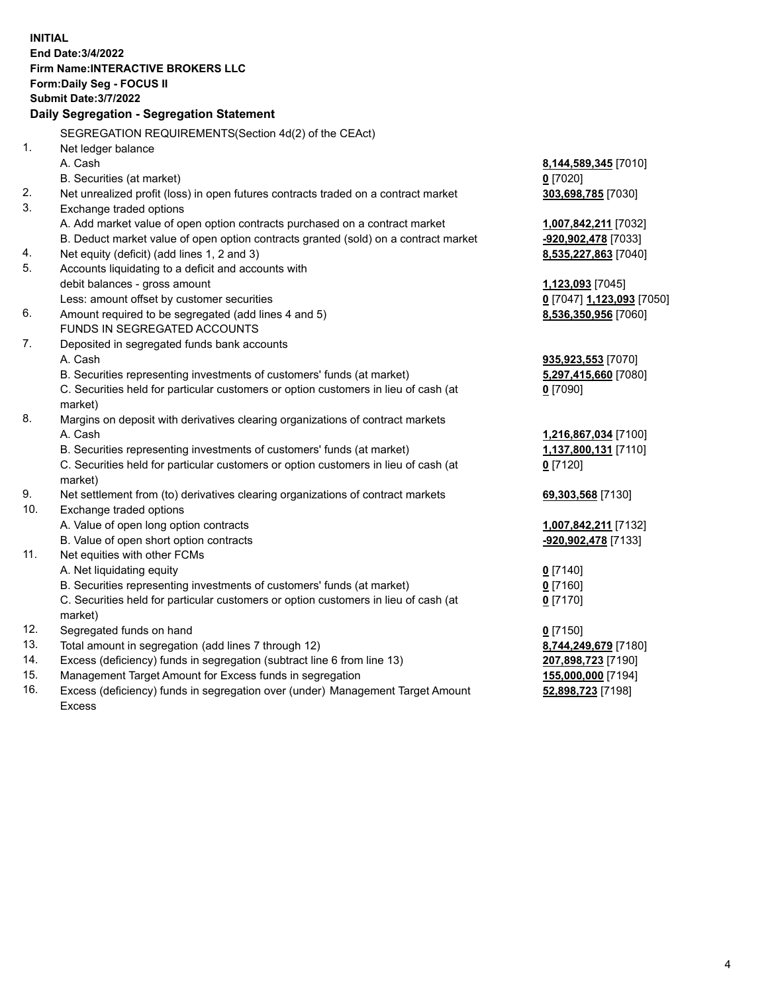**INITIAL End Date:3/4/2022 Firm Name:INTERACTIVE BROKERS LLC Form:Daily Seg - FOCUS II Submit Date:3/7/2022 Daily Segregation - Segregation Statement** SEGREGATION REQUIREMENTS(Section 4d(2) of the CEAct) 1. Net ledger balance A. Cash **8,144,589,345** [7010] B. Securities (at market) **0** [7020] 2. Net unrealized profit (loss) in open futures contracts traded on a contract market **303,698,785** [7030] 3. Exchange traded options A. Add market value of open option contracts purchased on a contract market **1,007,842,211** [7032] B. Deduct market value of open option contracts granted (sold) on a contract market **-920,902,478** [7033] 4. Net equity (deficit) (add lines 1, 2 and 3) **8,535,227,863** [7040] 5. Accounts liquidating to a deficit and accounts with debit balances - gross amount **1,123,093** [7045] Less: amount offset by customer securities **0** [7047] **1,123,093** [7050] 6. Amount required to be segregated (add lines 4 and 5) **8,536,350,956** [7060] FUNDS IN SEGREGATED ACCOUNTS 7. Deposited in segregated funds bank accounts A. Cash **935,923,553** [7070] B. Securities representing investments of customers' funds (at market) **5,297,415,660** [7080] C. Securities held for particular customers or option customers in lieu of cash (at market) **0** [7090] 8. Margins on deposit with derivatives clearing organizations of contract markets A. Cash **1,216,867,034** [7100] B. Securities representing investments of customers' funds (at market) **1,137,800,131** [7110] C. Securities held for particular customers or option customers in lieu of cash (at market) **0** [7120] 9. Net settlement from (to) derivatives clearing organizations of contract markets **69,303,568** [7130] 10. Exchange traded options A. Value of open long option contracts **1,007,842,211** [7132] B. Value of open short option contracts **-920,902,478** [7133] 11. Net equities with other FCMs A. Net liquidating equity **0** [7140] B. Securities representing investments of customers' funds (at market) **0** [7160] C. Securities held for particular customers or option customers in lieu of cash (at market) **0** [7170] 12. Segregated funds on hand **0** [7150] 13. Total amount in segregation (add lines 7 through 12) **8,744,249,679** [7180] 14. Excess (deficiency) funds in segregation (subtract line 6 from line 13) **207,898,723** [7190] 15. Management Target Amount for Excess funds in segregation **155,000,000** [7194]

16. Excess (deficiency) funds in segregation over (under) Management Target Amount Excess

**52,898,723** [7198]